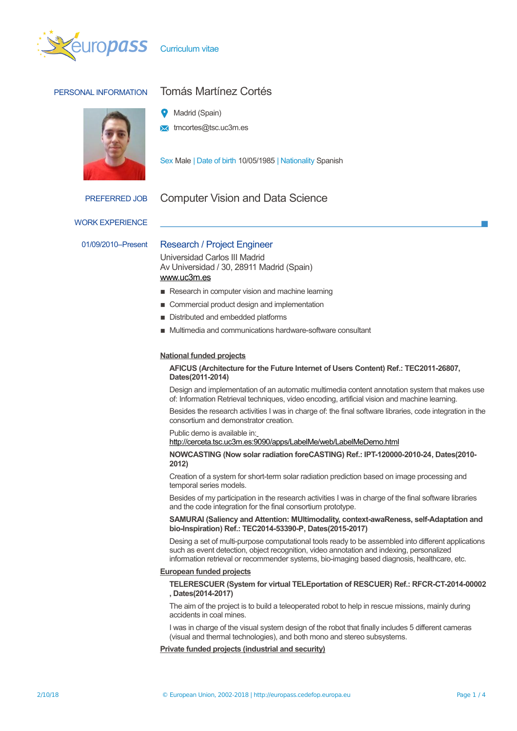



# PERSONAL INFORMATION Tomás Martínez Cortés

- Madrid (Spain)
- **x** tmcortes@tsc.uc3m.es

Sex Male | Date of birth 10/05/1985 | Nationality Spanish

# PREFERRED JOB Computer Vision and Data Science

WORK EXPERIENCE

# 01/09/2010–Present Research / Project Engineer

Universidad Carlos III Madrid Av Universidad / 30, 28911 Madrid (Spain) [www.uc3m.es](http://www.uc3m.es/)

- Research in computer vision and machine learning
- Commercial product design and implementation
- Distributed and embedded platforms
- Multimedia and communications hardware-software consultant

# **National funded projects**

# **AFICUS (Architecture for the Future Internet of Users Content) Ref.: TEC2011-26807, Dates(2011-2014)**

Design and implementation of an automatic multimedia content annotation system that makes use of: Information Retrieval techniques, video encoding, artificial vision and machine learning.

Besides the research activities I was in charge of: the final software libraries, code integration in the consortium and demonstrator creation.

Public demo is available in[:](http://cerceta.tsc.uc3m.es:9090/apps/LabelMe/web/LabelMeDemo.html)

<http://cerceta.tsc.uc3m.es:9090/apps/LabelMe/web/LabelMeDemo.html>

# **NOWCASTING (Now solar radiation foreCASTING) Ref.: IPT-120000-2010-24, Dates(2010- 2012)**

Creation of a system for short-term solar radiation prediction based on image processing and temporal series models.

Besides of my participation in the research activities I was in charge of the final software libraries and the code integration for the final consortium prototype.

# **SAMURAI (Saliency and Attention: MUltimodality, context-awaReness, self-Adaptation and bio-Inspiration) Ref.: TEC2014-53390-P, Dates(2015-2017)**

Desing a set of multi-purpose computational tools ready to be assembled into different applications such as event detection, object recognition, video annotation and indexing, personalized information retrieval or recommender systems, bio-imaging based diagnosis, healthcare, etc.

# **European funded projects**

# **TELERESCUER (System for virtual TELEportation of RESCUER) Ref.: RFCR-CT-2014-00002 , Dates(2014-2017)**

The aim of the project is to build a teleoperated robot to help in rescue missions, mainly during accidents in coal mines.

I was in charge of the visual system design of the robot that finally includes 5 different cameras (visual and thermal technologies), and both mono and stereo subsystems.

# **Private funded projects (industrial and security)**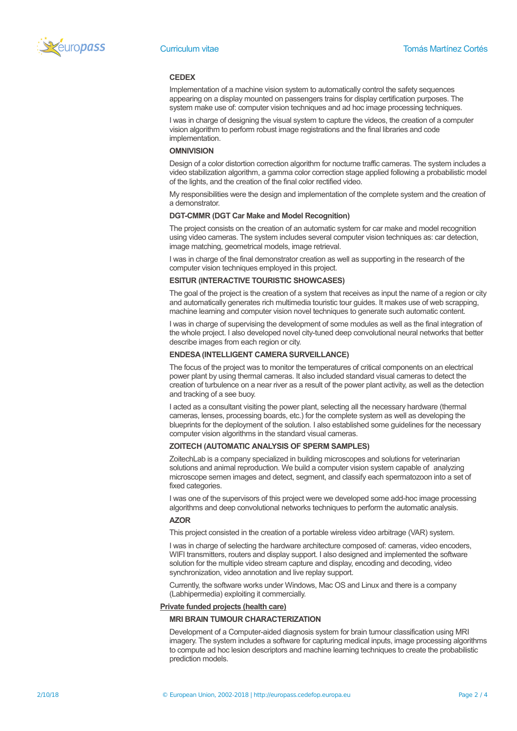

### **CEDEX**

Implementation of a machine vision system to automatically control the safety sequences appearing on a display mounted on passengers trains for display certification purposes. The system make use of: computer vision techniques and ad hoc image processing techniques.

I was in charge of designing the visual system to capture the videos, the creation of a computer vision algorithm to perform robust image registrations and the final libraries and code implementation.

# **OMNIVISION**

Design of a color distortion correction algorithm for nocturne traffic cameras. The system includes a video stabilization algorithm, a gamma color correction stage applied following a probabilistic model of the lights, and the creation of the final color rectified video.

My responsibilities were the design and implementation of the complete system and the creation of a demonstrator.

### **DGT-CMMR (DGT Car Make and Model Recognition)**

The project consists on the creation of an automatic system for car make and model recognition using video cameras. The system includes several computer vision techniques as: car detection, image matching, geometrical models, image retrieval.

I was in charge of the final demonstrator creation as well as supporting in the research of the computer vision techniques employed in this project.

# **ESITUR (INTERACTIVE TOURISTIC SHOWCASES)**

The goal of the project is the creation of a system that receives as input the name of a region or city and automatically generates rich multimedia touristic tour guides. It makes use of web scrapping, machine learning and computer vision novel techniques to generate such automatic content.

I was in charge of supervising the development of some modules as well as the final integration of the whole project. I also developed novel city-tuned deep convolutional neural networks that better describe images from each region or city.

# **ENDESA (INTELLIGENT CAMERA SURVEILLANCE)**

The focus of the project was to monitor the temperatures of critical components on an electrical power plant by using thermal cameras. It also included standard visual cameras to detect the creation of turbulence on a near river as a result of the power plant activity, as well as the detection and tracking of a see buoy.

I acted as a consultant visiting the power plant, selecting all the necessary hardware (thermal cameras, lenses, processing boards, etc.) for the complete system as well as developing the blueprints for the deployment of the solution. I also established some guidelines for the necessary computer vision algorithms in the standard visual cameras.

## **ZOITECH (AUTOMATIC ANALYSIS OF SPERM SAMPLES)**

ZoitechLab is a company specialized in building microscopes and solutions for veterinarian solutions and animal reproduction. We build a computer vision system capable of analyzing microscope semen images and detect, segment, and classify each spermatozoon into a set of fixed categories.

I was one of the supervisors of this project were we developed some add-hoc image processing algorithms and deep convolutional networks techniques to perform the automatic analysis.

### **AZOR**

This project consisted in the creation of a portable wireless video arbitrage (VAR) system.

I was in charge of selecting the hardware architecture composed of: cameras, video encoders, WIFI transmitters, routers and display support. I also designed and implemented the software solution for the multiple video stream capture and display, encoding and decoding, video synchronization, video annotation and live replay support.

Currently, the software works under Windows, Mac OS and Linux and there is a company (Labhipermedia) exploiting it commercially.

### **Private funded projects (health care)**

## **MRI BRAIN TUMOUR CHARACTERIZATION**

Development of a Computer-aided diagnosis system for brain tumour classification using MRI imagery. The system includes a software for capturing medical inputs, image processing algorithms to compute ad hoc lesion descriptors and machine learning techniques to create the probabilistic prediction models.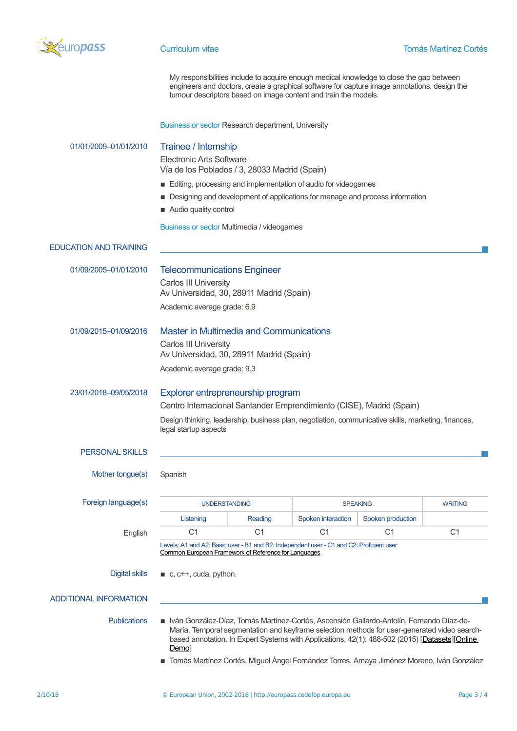

My responsibilities include to acquire enough medical knowledge to close the gap between engineers and doctors, create a graphical software for capture image annotations, design the tumour descriptors based on image content and train the models.

Business or sector Research department, University

| 01/01/2009-01/01/2010         | Trainee / Internship<br><b>Electronic Arts Software</b><br>Vía de los Poblados / 3, 28033 Madrid (Spain)<br>Editing, processing and implementation of audio for videogames<br>Designing and development of applications for manage and process information<br>Audio quality control<br>Business or sector Multimedia / videogames                                                                    |                |                    |                   |                |
|-------------------------------|------------------------------------------------------------------------------------------------------------------------------------------------------------------------------------------------------------------------------------------------------------------------------------------------------------------------------------------------------------------------------------------------------|----------------|--------------------|-------------------|----------------|
| <b>EDUCATION AND TRAINING</b> |                                                                                                                                                                                                                                                                                                                                                                                                      |                |                    |                   |                |
| 01/09/2005-01/01/2010         | <b>Telecommunications Engineer</b><br><b>Carlos III University</b><br>Av Universidad, 30, 28911 Madrid (Spain)<br>Academic average grade: 6.9                                                                                                                                                                                                                                                        |                |                    |                   |                |
| 01/09/2015-01/09/2016         | <b>Master in Multimedia and Communications</b><br><b>Carlos III University</b><br>Av Universidad, 30, 28911 Madrid (Spain)<br>Academic average grade: 9.3                                                                                                                                                                                                                                            |                |                    |                   |                |
| 23/01/2018-09/05/2018         | Explorer entrepreneurship program<br>Centro Internacional Santander Emprendimiento (CISE), Madrid (Spain)<br>Design thinking, leadership, business plan, negotiation, communicative skills, marketing, finances,<br>legal startup aspects                                                                                                                                                            |                |                    |                   |                |
| <b>PERSONAL SKILLS</b>        |                                                                                                                                                                                                                                                                                                                                                                                                      |                |                    |                   |                |
| Mother tongue(s)              | Spanish                                                                                                                                                                                                                                                                                                                                                                                              |                |                    |                   |                |
| Foreign language(s)           | <b>UNDERSTANDING</b>                                                                                                                                                                                                                                                                                                                                                                                 |                | <b>SPEAKING</b>    |                   | <b>WRITING</b> |
|                               | Listening                                                                                                                                                                                                                                                                                                                                                                                            | Reading        | Spoken interaction | Spoken production |                |
| English                       | C <sub>1</sub>                                                                                                                                                                                                                                                                                                                                                                                       | C <sub>1</sub> | C <sub>1</sub>     | C <sub>1</sub>    | C <sub>1</sub> |
| <b>Digital skills</b>         | Levels: A1 and A2: Basic user - B1 and B2: Independent user - C1 and C2: Proficient user<br>Common European Framework of Reference for Languages<br>$\blacksquare$ c, c++, cuda, python.                                                                                                                                                                                                             |                |                    |                   |                |
| <b>ADDITIONAL INFORMATION</b> |                                                                                                                                                                                                                                                                                                                                                                                                      |                |                    |                   |                |
| <b>Publications</b>           | ■ Iván González-Díaz, Tomás Martínez-Cortés, Ascensión Gallardo-Antolín, Fernando Díaz-de-<br>María. Temporal segmentation and keyframe selection methods for user-generated video search-<br>based annotation. In Expert Systems with Applications, 42(1): 488-502 (2015) [Datasets][Online<br>Demo]<br>■ Tomás Martínez Cortés, Miguel Ángel Fernández Torres, Amaya Jiménez Moreno, Iván González |                |                    |                   |                |